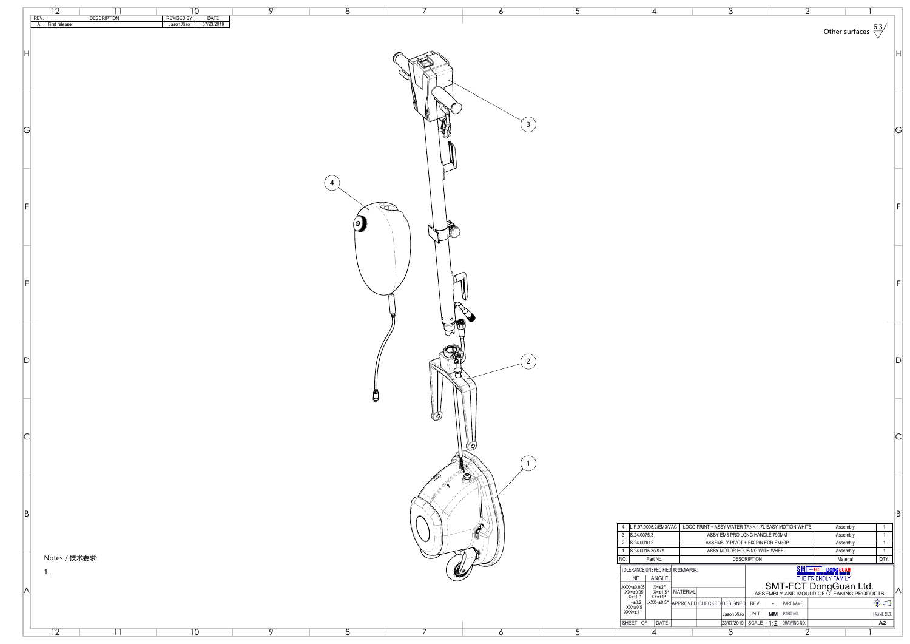|                | $\overline{12}$<br>11<br><b>DESCRIPTION</b> | 10                                             | $\overline{Q}$ | 8                                 |            |                  |                                                                                                                                                                                                                                                                                        | ⌒                                                                                                                              |                                                                                                             |    |
|----------------|---------------------------------------------|------------------------------------------------|----------------|-----------------------------------|------------|------------------|----------------------------------------------------------------------------------------------------------------------------------------------------------------------------------------------------------------------------------------------------------------------------------------|--------------------------------------------------------------------------------------------------------------------------------|-------------------------------------------------------------------------------------------------------------|----|
|                | REV.<br>A First release                     | REVISED BY<br>Jason Xiao<br>DATE<br>07/23/2019 |                |                                   |            |                  |                                                                                                                                                                                                                                                                                        |                                                                                                                                | Other surfaces $\frac{6.3}{2}$                                                                              |    |
| H              |                                             |                                                |                |                                   |            |                  |                                                                                                                                                                                                                                                                                        |                                                                                                                                |                                                                                                             |    |
|                |                                             |                                                |                |                                   |            |                  |                                                                                                                                                                                                                                                                                        |                                                                                                                                |                                                                                                             |    |
|                |                                             |                                                |                |                                   |            |                  |                                                                                                                                                                                                                                                                                        |                                                                                                                                |                                                                                                             |    |
|                |                                             |                                                |                |                                   |            |                  |                                                                                                                                                                                                                                                                                        |                                                                                                                                |                                                                                                             |    |
| G              |                                             |                                                |                |                                   |            | $\overline{3}$   |                                                                                                                                                                                                                                                                                        |                                                                                                                                |                                                                                                             | G  |
|                |                                             |                                                |                |                                   |            |                  |                                                                                                                                                                                                                                                                                        |                                                                                                                                |                                                                                                             |    |
|                |                                             |                                                |                |                                   |            |                  |                                                                                                                                                                                                                                                                                        |                                                                                                                                |                                                                                                             |    |
|                |                                             |                                                |                |                                   |            |                  |                                                                                                                                                                                                                                                                                        |                                                                                                                                |                                                                                                             |    |
| l F            |                                             |                                                |                |                                   |            |                  |                                                                                                                                                                                                                                                                                        |                                                                                                                                |                                                                                                             |    |
|                |                                             |                                                |                | $\begin{pmatrix} 0 \end{pmatrix}$ |            |                  |                                                                                                                                                                                                                                                                                        |                                                                                                                                |                                                                                                             |    |
|                |                                             |                                                |                |                                   |            |                  |                                                                                                                                                                                                                                                                                        |                                                                                                                                |                                                                                                             |    |
|                |                                             |                                                |                |                                   |            |                  |                                                                                                                                                                                                                                                                                        |                                                                                                                                |                                                                                                             |    |
|                |                                             |                                                |                |                                   |            |                  |                                                                                                                                                                                                                                                                                        |                                                                                                                                |                                                                                                             |    |
|                |                                             |                                                |                |                                   |            |                  |                                                                                                                                                                                                                                                                                        |                                                                                                                                |                                                                                                             |    |
|                |                                             |                                                |                |                                   |            |                  |                                                                                                                                                                                                                                                                                        |                                                                                                                                |                                                                                                             |    |
|                |                                             |                                                |                |                                   |            |                  |                                                                                                                                                                                                                                                                                        |                                                                                                                                |                                                                                                             |    |
| $\mathsf{D}$   |                                             |                                                |                |                                   |            | $\overline{2}$   |                                                                                                                                                                                                                                                                                        |                                                                                                                                |                                                                                                             |    |
|                |                                             |                                                |                |                                   |            |                  |                                                                                                                                                                                                                                                                                        |                                                                                                                                |                                                                                                             |    |
|                |                                             |                                                |                | Å                                 |            |                  |                                                                                                                                                                                                                                                                                        |                                                                                                                                |                                                                                                             |    |
|                |                                             |                                                |                |                                   | $\bigcirc$ |                  |                                                                                                                                                                                                                                                                                        |                                                                                                                                |                                                                                                             |    |
| $\overline{C}$ |                                             |                                                |                |                                   |            |                  |                                                                                                                                                                                                                                                                                        |                                                                                                                                |                                                                                                             |    |
|                |                                             |                                                |                |                                   |            |                  |                                                                                                                                                                                                                                                                                        |                                                                                                                                |                                                                                                             |    |
|                |                                             |                                                |                |                                   |            | $\bigcircled{S}$ |                                                                                                                                                                                                                                                                                        |                                                                                                                                |                                                                                                             |    |
|                |                                             |                                                |                |                                   |            |                  |                                                                                                                                                                                                                                                                                        |                                                                                                                                |                                                                                                             |    |
| B              |                                             |                                                |                |                                   |            |                  |                                                                                                                                                                                                                                                                                        | $\boxed{4}$ $\boxed{\text{L.P.}97.0005.2/\text{EM3/VAC}}$ $\boxed{\text{LOGO PRINT + ASSY WATER TANK 1.7L EASY MOTION WHITE}}$ | Assembly                                                                                                    | B  |
|                |                                             |                                                |                |                                   | ◡          |                  | $3$ S.24.0075.3<br>$\overline{2}$ S.24.0010.2                                                                                                                                                                                                                                          | ASSY EM3 PRO LONG HANDLE 790MM<br>ASSEMBLY PIVOT + FIX PIN FOR EM30P                                                           | Assembly<br>Assembly                                                                                        |    |
|                | Notes / 技术要求:                               |                                                |                |                                   |            |                  | S.24.0015.3/797A<br>  NO.  <br>Part No.<br>TOLERANCE UNSPECIFIED REMARK:                                                                                                                                                                                                               | ASSY MOTOR HOUSING WITH WHEEL<br><b>DESCRIPTION</b>                                                                            | Assembly<br>$\sqrt{QTY}$ .<br>Material                                                                      |    |
|                | 1.                                          |                                                |                |                                   | U,         |                  | LINE   ANGLE                                                                                                                                                                                                                                                                           |                                                                                                                                | SMT-FCT DONGGUAN<br>THE FRIENDLY FAMILY<br>SMT-FCT DONGGUAN Ltd.<br>ASSEMBLY AND MOULD OF CLEANING PRODUCTS |    |
| A              |                                             |                                                |                |                                   |            |                  | $\begin{array}{ l l l l l } \hline &X &X=\pm 0.005&X=\pm 2^{\circ}\\ &XX=\pm 0.05&X=\pm 1.5^{\circ}\\ &X=\pm 0.1&XX=\pm 1^{\circ}\\ &X=\pm 0.2&X &X \end{array} \hline{\text{MATERIAL} \hline &\text{ASS} \\ \hline &\text{APPROVED CHECKED DESIGNED REV.}\\ \hline &X &X \end{array}$ | - PART NAME                                                                                                                    | $\big  \oplus \bigoplus$                                                                                    | ΙA |
|                |                                             |                                                |                |                                   |            |                  | SHEET OF DATE                                                                                                                                                                                                                                                                          | $\vert$ Jason Xiao $\vert$ UNIT $\vert$ MM $\vert$ PART NO.<br>$23/07/2019$ SCALE $1:2$ DRAWING NO.                            | FRAME SIZE<br>A2                                                                                            |    |
|                | $\overline{12}$                             | 10                                             | $\overline{Q}$ | 8                                 |            |                  |                                                                                                                                                                                                                                                                                        | $\cap$                                                                                                                         |                                                                                                             |    |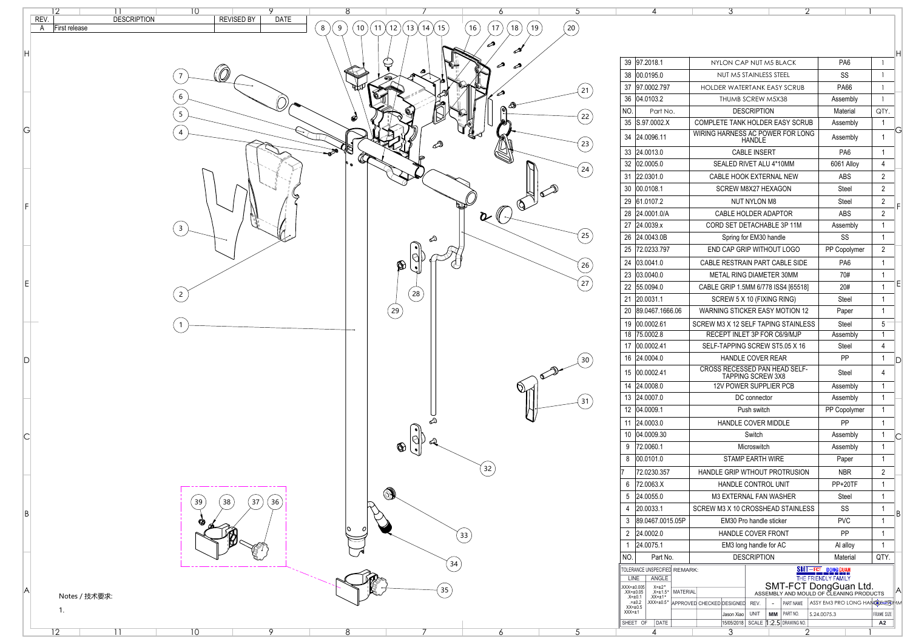| 39                            | 97.2018.1                                                    |                 |                                        | NYLON CAP NUT M5 BLACK             |                     |    |                                       | PA <sub>6</sub>                                                            |                   | Η            |
|-------------------------------|--------------------------------------------------------------|-----------------|----------------------------------------|------------------------------------|---------------------|----|---------------------------------------|----------------------------------------------------------------------------|-------------------|--------------|
| 38                            | 00.0195.0                                                    |                 |                                        | NUT M5 STAINLESS STEEL             |                     |    |                                       | <b>SS</b>                                                                  |                   |              |
| 37                            | 97.0002.797                                                  |                 |                                        | <b>HOLDER WATERTANK EASY SCRUB</b> |                     |    |                                       | <b>PA66</b>                                                                |                   |              |
| 36                            | 04.0103.2                                                    |                 |                                        | <b>THUMB SCREW M5X38</b>           |                     |    |                                       | Assembly                                                                   |                   |              |
| NO.                           | Part No.                                                     |                 |                                        |                                    | <b>DESCRIPTION</b>  |    |                                       | <b>Material</b>                                                            | QTY.              |              |
| 35                            | S.97.0002.X                                                  |                 | <b>COMPLETE TANK HOLDER EASY SCRUB</b> |                                    |                     |    |                                       | Assembly                                                                   | 1                 |              |
| 34                            | 24.0096.11                                                   |                 | WIRING HARNESS AC POWER FOR LONG       |                                    | <b>HANDLE</b>       |    |                                       | Assembly                                                                   | 1                 | Ğ            |
| 33                            | 24.0013.0                                                    |                 |                                        |                                    | <b>CABLE INSERT</b> |    |                                       | PA <sub>6</sub>                                                            | 1                 |              |
| 32                            | 02.0005.0                                                    |                 |                                        | SEALED RIVET ALU 4*10MM            |                     |    |                                       | 6061 Alloy                                                                 | 4                 |              |
| 31                            | 22.0301.0                                                    |                 |                                        | <b>CABLE HOOK EXTERNAL NEW</b>     |                     |    |                                       | <b>ABS</b>                                                                 | $\overline{2}$    |              |
| 30                            | 00.0108.1                                                    |                 |                                        | <b>SCREW M8X27 HEXAGON</b>         |                     |    |                                       | <b>Steel</b>                                                               | $\overline{2}$    |              |
| 29                            | 61.0107.2                                                    |                 |                                        |                                    | <b>NUT NYLON M8</b> |    |                                       | <b>Steel</b>                                                               | $\overline{2}$    |              |
| 28                            | 24.0001.0/A                                                  |                 |                                        | <b>CABLE HOLDER ADAPTOR</b>        |                     |    |                                       | <b>ABS</b>                                                                 | $\overline{2}$    | F            |
| 27                            | 24.0039.x                                                    |                 |                                        | CORD SET DETACHABLE 3P 11M         |                     |    |                                       | Assembly                                                                   | 1                 |              |
| 26                            | 24.0043.0B                                                   |                 |                                        | Spring for EM30 handle             |                     |    |                                       | SS                                                                         | 1                 |              |
| 25                            | 72.0233.797                                                  |                 |                                        | END CAP GRIP WITHOUT LOGO          |                     |    |                                       | PP Copolymer                                                               | $\overline{2}$    |              |
| 24                            | 03.0041.0                                                    |                 |                                        |                                    |                     |    | <b>CABLE RESTRAIN PART CABLE SIDE</b> | PA <sub>6</sub>                                                            | 1                 |              |
| 23                            | 03.0040.0                                                    |                 |                                        | <b>METAL RING DIAMETER 30MM</b>    |                     |    |                                       | 70#                                                                        | 1                 |              |
| 22                            | 55.0094.0                                                    |                 |                                        |                                    |                     |    | CABLE GRIP 1.5MM 6/778 ISS4 [65518]   | 20#                                                                        |                   | Ε            |
| 21                            | 20.0031.1                                                    |                 |                                        |                                    |                     |    |                                       | <b>Steel</b>                                                               | 1                 |              |
| 20                            | 89.0467.1666.06                                              |                 |                                        | SCREW 5 X 10 (FIXING RING)         |                     |    | <b>WARNING STICKER EASY MOTION 12</b> | Paper                                                                      | 1                 |              |
|                               |                                                              |                 |                                        |                                    |                     |    |                                       |                                                                            |                   |              |
| 19<br>18                      | 00.0002.61<br>75.0002.8                                      |                 | SCREW M3 X 12 SELF TAPING STAINLESS    | RECEPT INLET 3P FOR C6/9/MJP       |                     |    |                                       | <b>Steel</b><br>Assembly                                                   | 5<br>1            |              |
| 17                            | 00.0002.41                                                   |                 |                                        |                                    |                     |    | SELF-TAPPING SCREW ST5.05 X 16        | <b>Steel</b>                                                               | 4                 |              |
| 16                            | 24.0004.0                                                    |                 |                                        | <b>HANDLE COVER REAR</b>           |                     |    |                                       | PP                                                                         | 1                 |              |
|                               |                                                              |                 |                                        |                                    |                     |    | <b>CROSS RECESSED PAN HEAD SELF-</b>  |                                                                            |                   | $\mathsf{D}$ |
| 15                            | 00.0002.41                                                   |                 |                                        | <b>TAPPING SCREW 3X8</b>           |                     |    |                                       | <b>Steel</b>                                                               | 4                 |              |
| 14                            | 24.0008.0                                                    |                 |                                        | <b>12V POWER SUPPLIER PCB</b>      |                     |    |                                       | Assembly                                                                   | 1                 |              |
| 13                            | 24.0007.0                                                    |                 |                                        |                                    | DC connector        |    |                                       | Assembly                                                                   | 1                 |              |
| 12                            | 04.0009.1                                                    |                 |                                        |                                    | Push switch         |    |                                       | PP Copolymer                                                               | 1                 |              |
| 11                            | 24.0003.0                                                    |                 |                                        | HANDLE COVER MIDDLE                |                     |    |                                       | PP                                                                         | 1                 |              |
| 10                            | 04.0009.30                                                   |                 |                                        |                                    | Switch              |    |                                       | Assembly                                                                   | 1                 | C            |
| 9                             | 72.0060.1                                                    |                 |                                        |                                    | <b>Microswitch</b>  |    |                                       | Assembly                                                                   | 1                 |              |
| 8                             | 00.0101.0                                                    |                 |                                        | <b>STAMP EARTH WIRE</b>            |                     |    |                                       | Paper                                                                      | 1                 |              |
|                               | 72.0230.357                                                  |                 |                                        |                                    |                     |    | <b>HANDLE GRIP WTHOUT PROTRUSION</b>  | <b>NBR</b>                                                                 | $\overline{2}$    |              |
| 6                             | 72.0063.X                                                    |                 |                                        | <b>HANDLE CONTROL UNIT</b>         |                     |    |                                       | PP+20TF                                                                    | 1                 |              |
| 5                             | 24.0055.0                                                    |                 |                                        | <b>M3 EXTERNAL FAN WASHER</b>      |                     |    |                                       | <b>Steel</b>                                                               | 1                 |              |
| 4                             | 20.0033.1                                                    |                 | SCREW M3 X 10 CROSSHEAD STAINLESS      |                                    |                     |    |                                       | SS                                                                         | 1                 | В            |
| 3                             | 89.0467.0015.05P                                             |                 |                                        | <b>EM30 Pro handle sticker</b>     |                     |    |                                       | <b>PVC</b>                                                                 |                   |              |
| $\overline{2}$                | 24.0002.0                                                    |                 |                                        | <b>HANDLE COVER FRONT</b>          |                     |    |                                       | PP                                                                         |                   |              |
| 1                             | 24.0075.1                                                    |                 |                                        | EM3 long handle for AC             |                     |    |                                       | Al alloy                                                                   |                   |              |
| NO.                           | Part No.                                                     |                 |                                        |                                    | <b>DESCRIPTION</b>  |    |                                       | <b>Material</b>                                                            | QTY.              |              |
| <b>LINE</b>                   | TOLERANCE UNSPECIFIED REMARK:<br>ANGLE                       |                 |                                        |                                    |                     |    |                                       | SMT-FCT DONGGUAN<br>THE FRIENDLY FAMILY                                    |                   |              |
| XXX=±0.005<br>$XX = \pm 0.05$ | $X = \pm 2^{\circ}$<br>$.X=\pm 1.5$ °                        | <b>MATERIAL</b> |                                        |                                    |                     |    |                                       | SMT-FCT DongGuan Ltd.                                                      |                   | $\mathsf{A}$ |
|                               | $XX = \pm 1$ °<br>$X = ±0.1$<br>$=±0.2$<br>$XXX = \pm 0.5$ ° |                 | <b>APPROVED CHECKED DESIGNED</b>       |                                    | REV.                |    | PART NAME                             | ASSEMBLY AND MOULD OF CLEANING PRODUCTS<br>ASSY EM3 PRO LONG HANGEL 220 AM |                   |              |
| $XX = \pm 0.5$<br>$XXX = ±1$  |                                                              |                 |                                        | Jason Xiao                         | <b>UNIT</b>         | MМ | PART NO.                              | S.24.0075.3                                                                | <b>FRAME SIZE</b> |              |
|                               |                                                              |                 |                                        |                                    |                     |    |                                       |                                                                            |                   |              |

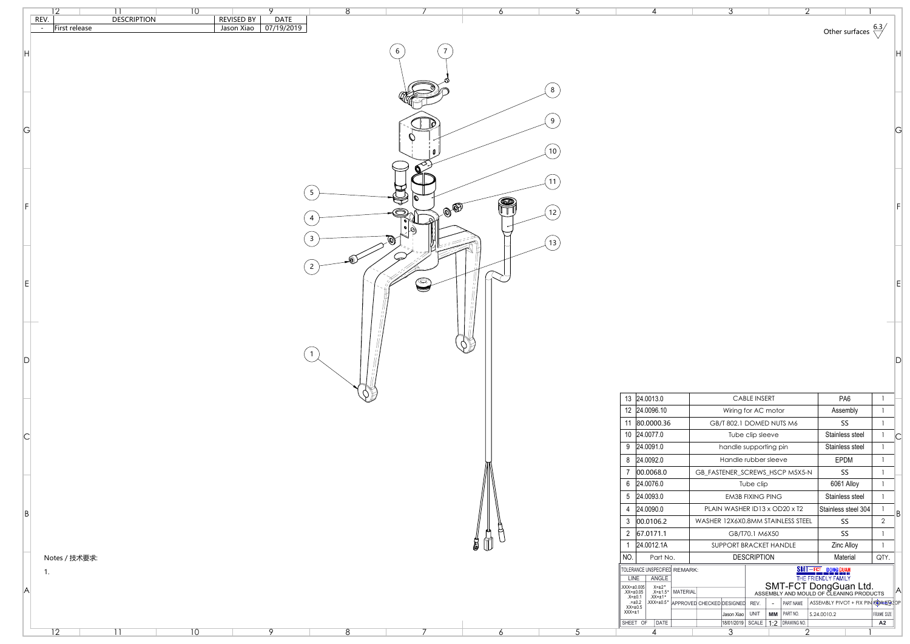|                | 10                                                                         | 8                                      |            | <sub>6</sub>           |                                                                                                                                            | ্ব                                                                                                                                                               |                                                              |                      |
|----------------|----------------------------------------------------------------------------|----------------------------------------|------------|------------------------|--------------------------------------------------------------------------------------------------------------------------------------------|------------------------------------------------------------------------------------------------------------------------------------------------------------------|--------------------------------------------------------------|----------------------|
|                | REV.<br><b>DESCRIPTION</b><br><b>REVISED BY</b><br>First release<br>$\sim$ | <b>DATE</b><br>Jason Xiao   07/19/2019 |            |                        |                                                                                                                                            |                                                                                                                                                                  |                                                              |                      |
|                |                                                                            |                                        |            |                        |                                                                                                                                            |                                                                                                                                                                  | Other surfaces $\sqrt[6.3]{ }$                               |                      |
|                |                                                                            |                                        | 6          |                        |                                                                                                                                            |                                                                                                                                                                  |                                                              |                      |
|                |                                                                            |                                        |            |                        |                                                                                                                                            |                                                                                                                                                                  |                                                              |                      |
|                |                                                                            |                                        |            |                        |                                                                                                                                            |                                                                                                                                                                  |                                                              |                      |
|                |                                                                            |                                        |            |                        |                                                                                                                                            |                                                                                                                                                                  |                                                              |                      |
|                |                                                                            |                                        |            |                        |                                                                                                                                            |                                                                                                                                                                  |                                                              |                      |
|                |                                                                            |                                        |            |                        |                                                                                                                                            |                                                                                                                                                                  |                                                              |                      |
|                |                                                                            |                                        |            |                        |                                                                                                                                            |                                                                                                                                                                  |                                                              |                      |
| G              |                                                                            |                                        |            |                        |                                                                                                                                            |                                                                                                                                                                  |                                                              |                      |
|                |                                                                            |                                        |            | 10                     |                                                                                                                                            |                                                                                                                                                                  |                                                              |                      |
|                |                                                                            |                                        |            |                        |                                                                                                                                            |                                                                                                                                                                  |                                                              |                      |
|                |                                                                            |                                        |            |                        |                                                                                                                                            |                                                                                                                                                                  |                                                              |                      |
|                |                                                                            |                                        |            |                        |                                                                                                                                            |                                                                                                                                                                  |                                                              |                      |
|                |                                                                            | 5                                      |            | P                      |                                                                                                                                            |                                                                                                                                                                  |                                                              |                      |
|                |                                                                            |                                        | a O        | 12                     |                                                                                                                                            |                                                                                                                                                                  |                                                              |                      |
|                |                                                                            | 4                                      |            |                        |                                                                                                                                            |                                                                                                                                                                  |                                                              |                      |
|                |                                                                            |                                        | O)         |                        |                                                                                                                                            |                                                                                                                                                                  |                                                              |                      |
|                |                                                                            |                                        |            | (13)                   |                                                                                                                                            |                                                                                                                                                                  |                                                              |                      |
|                |                                                                            | $\bigoplus$                            |            |                        |                                                                                                                                            |                                                                                                                                                                  |                                                              |                      |
|                |                                                                            | $\begin{bmatrix} 2 \end{bmatrix}$      |            |                        |                                                                                                                                            |                                                                                                                                                                  |                                                              |                      |
| $ \mathsf{E} $ |                                                                            |                                        | $\bigcirc$ |                        |                                                                                                                                            |                                                                                                                                                                  |                                                              |                      |
|                |                                                                            |                                        |            |                        |                                                                                                                                            |                                                                                                                                                                  |                                                              |                      |
|                |                                                                            |                                        |            |                        |                                                                                                                                            |                                                                                                                                                                  |                                                              |                      |
|                |                                                                            |                                        |            |                        |                                                                                                                                            |                                                                                                                                                                  |                                                              |                      |
|                |                                                                            |                                        |            |                        |                                                                                                                                            |                                                                                                                                                                  |                                                              |                      |
|                |                                                                            | $\overline{1}$                         |            | $\phi$                 |                                                                                                                                            |                                                                                                                                                                  |                                                              |                      |
| D              |                                                                            |                                        |            |                        |                                                                                                                                            |                                                                                                                                                                  |                                                              |                      |
|                |                                                                            |                                        |            |                        |                                                                                                                                            |                                                                                                                                                                  |                                                              |                      |
|                |                                                                            |                                        |            |                        |                                                                                                                                            |                                                                                                                                                                  |                                                              |                      |
|                |                                                                            |                                        |            |                        | 13 24.0013.0                                                                                                                               | <b>CABLE INSERT</b>                                                                                                                                              | PA <sub>6</sub>                                              | $\overline{1}$       |
|                |                                                                            |                                        |            |                        | 12 24.0096.10                                                                                                                              | Wiring for AC motor                                                                                                                                              | Assembly                                                     |                      |
|                |                                                                            |                                        |            |                        | 11 80.0000.36<br>10 24.0077.0                                                                                                              | GB/T 802.1 DOMED NUTS M6                                                                                                                                         | SS<br>Stainless steel                                        |                      |
| C              |                                                                            |                                        |            |                        | $9$ 24.0091.0                                                                                                                              | Tube clip sleeve<br>handle supporting pin                                                                                                                        | <b>Stainless steel</b>                                       | C                    |
|                |                                                                            |                                        |            |                        | 8 24.0092.0                                                                                                                                | Handle rubber sleeve                                                                                                                                             | EPDM                                                         |                      |
|                |                                                                            |                                        |            |                        | $\vert 00.0068.0 \vert$                                                                                                                    | GB_FASTENER_SCREWS_HSCP M5X5-N                                                                                                                                   | SS                                                           |                      |
|                |                                                                            |                                        |            |                        | $6$ 24.0076.0                                                                                                                              | Tube clip                                                                                                                                                        | 6061 Alloy                                                   |                      |
|                |                                                                            |                                        |            |                        | $5$ 24.0093.0                                                                                                                              | <b>EM3B FIXING PING</b>                                                                                                                                          | Stainless steel                                              |                      |
|                |                                                                            |                                        |            |                        | 4 24.0090.0                                                                                                                                | PLAIN WASHER ID13 x OD20 x T2                                                                                                                                    | Stainless steel 304                                          |                      |
| B              |                                                                            |                                        |            |                        | $3 \mid 00.0106.2$                                                                                                                         | WASHER 12X6X0.8MM STAINLESS STEEL                                                                                                                                | SS                                                           | B <br>$\overline{2}$ |
|                |                                                                            |                                        |            | H<br><b>PLA</b>        | 2 67.0171.1                                                                                                                                | GB/T70.1 M6X50                                                                                                                                                   | SS                                                           |                      |
|                |                                                                            |                                        |            | $\sharp$ (1)<br>$\cup$ | 24.0012.1A                                                                                                                                 | SUPPORT BRACKET HANDLE                                                                                                                                           | <b>Zinc Alloy</b>                                            | $\overline{1}$       |
|                | Notes / 技术要求:                                                              |                                        |            |                        | $\vert$ NO.<br>Part No.                                                                                                                    | <b>DESCRIPTION</b>                                                                                                                                               | Material                                                     | QTY.                 |
|                | 1.                                                                         |                                        |            |                        | TOLERANCE UNSPECIFIED REMARK:                                                                                                              |                                                                                                                                                                  | <b>SMT-FCT DONGGUAN</b><br>THE FRIENDLY FAMILY               |                      |
|                |                                                                            |                                        |            |                        | <b>LINE</b><br>ANGLE                                                                                                                       |                                                                                                                                                                  |                                                              |                      |
| A              |                                                                            |                                        |            |                        |                                                                                                                                            | <b>SMT-FCT DongGuan Ltd.</b><br>ASSEMBLY AND MOULD OF CLEANING PRODUCTS<br>$X=±2°$<br>$X=±1.5°$<br>$XX=±1.5°$<br>$XXX=±0.5°$<br>$APPROVED CHECKED DESIGNED REV.$ |                                                              | IA.                  |
|                |                                                                            |                                        |            |                        | $\begin{array}{ l } \text{XXX=±0.005} \\ \text{XX=±0.05} \\ \text{X=±0.1} \\ \text{.==0.2} \\ \text{XX=±0.5} \\ \text{XXX=±1} \end{array}$ | $\sim$                                                                                                                                                           | $\vert$ PART NAME $\vert$ ASSEMBLY PIVOT + FIX PIN FOREM; OP |                      |
|                |                                                                            |                                        |            |                        | SHEET OF DATE                                                                                                                              | $\vert$ MM $\vert$ Part No.<br>Jason Xiao   UNIT<br>18/01/2019 SCALE 1:2 DRAWING NO.                                                                             | $\vert$ S.24.0010.2                                          | FRAME SIZE<br>A2     |
|                | 10<br>$\overline{12}$                                                      | $8\phantom{1}$<br>$\circ$              |            | <sub>6</sub>           |                                                                                                                                            | $\overline{3}$<br>⌒                                                                                                                                              |                                                              |                      |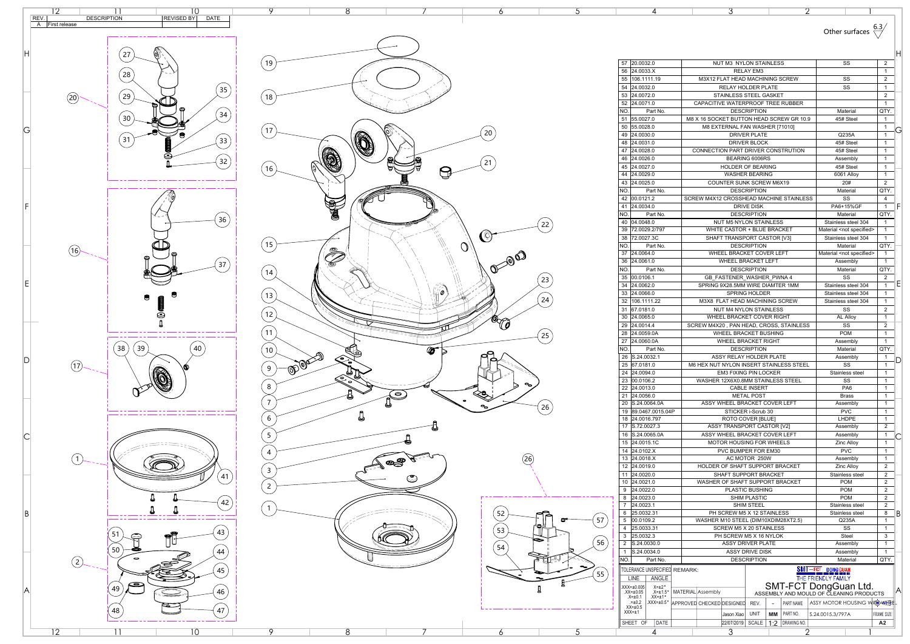| Other surfaces $\frac{0.1}{10.1}$ | 6.3/ |
|-----------------------------------|------|
|-----------------------------------|------|

|             | 4                                                                                                                                                                                              | 3                                                                 | 2                                                            |                                                                                                             |                                     |   |
|-------------|------------------------------------------------------------------------------------------------------------------------------------------------------------------------------------------------|-------------------------------------------------------------------|--------------------------------------------------------------|-------------------------------------------------------------------------------------------------------------|-------------------------------------|---|
|             |                                                                                                                                                                                                |                                                                   |                                                              | Other surfaces                                                                                              |                                     |   |
|             |                                                                                                                                                                                                |                                                                   |                                                              |                                                                                                             |                                     | Н |
| 57          | 20.0032.0                                                                                                                                                                                      | NUT M3 NYLON STAINLESS                                            |                                                              | SS                                                                                                          | $\overline{2}$                      |   |
| 56          | 24.0033.X                                                                                                                                                                                      | <b>RELAY EM3</b>                                                  |                                                              |                                                                                                             | 1                                   |   |
| 55          | 106.1111.19                                                                                                                                                                                    | M3X12 FLAT HEAD MACHINING SCREW                                   |                                                              | SS                                                                                                          | $\overline{2}$                      |   |
| 54<br>53    | 24.0032.0<br>24.0072.0                                                                                                                                                                         | <b>RELAY HOLDER PLATE</b><br>STAINLESS STEEL GASKET               |                                                              | SS                                                                                                          | 1<br>$\overline{2}$                 |   |
| 52          | 24.0071.0                                                                                                                                                                                      | CAPACITIVE WATERPROOF TREE RUBBER                                 |                                                              |                                                                                                             | 1                                   |   |
| <b>NO</b>   | Part No.                                                                                                                                                                                       | <b>DESCRIPTION</b>                                                |                                                              | Material                                                                                                    | QTY.                                |   |
| 51          | 55.0027.0                                                                                                                                                                                      | M8 X 16 SOCKET BUTTON HEAD SCREW GR 10.9                          |                                                              | 45# Steel                                                                                                   | 1                                   |   |
| 50          | 55.0028.0                                                                                                                                                                                      | M8 EXTERNAL FAN WASHER [71010]                                    |                                                              |                                                                                                             | 1                                   | Ğ |
| 49          | 24.0030.0                                                                                                                                                                                      | <b>DRIVER PLATE</b>                                               |                                                              | Q235A                                                                                                       | 1                                   |   |
| 48          | 24.0031.0                                                                                                                                                                                      | <b>DRIVER BLOCK</b>                                               |                                                              | 45# Steel                                                                                                   | 1                                   |   |
| 47<br>46    | 24.0028.0<br>24.0026.0                                                                                                                                                                         | CONNECTION PART DRIVER CONSTRUTION<br><b>BEARING 6006RS</b>       |                                                              | 45# Steel<br>Assembly                                                                                       | 1<br>$\mathbf{1}$                   |   |
| 45          | 24.0027.0                                                                                                                                                                                      | <b>HOLDER OF BEARING</b>                                          |                                                              | 45# Steel                                                                                                   | 1                                   |   |
| 44          | 24.0029.0                                                                                                                                                                                      | <b>WASHER BEARING</b>                                             |                                                              | 6061 Alloy                                                                                                  | 1                                   |   |
| 43          | 24.0025.0                                                                                                                                                                                      | <b>COUNTER SUNK SCREW M6X19</b>                                   |                                                              | 20#                                                                                                         | $\overline{2}$                      |   |
| NO.         | Part No.                                                                                                                                                                                       | <b>DESCRIPTION</b>                                                |                                                              | Material                                                                                                    | QTY.                                |   |
| 42          | 00.0121.2                                                                                                                                                                                      | SCREW M4X12 CROSSHEAD MACHINE STAINLESS                           |                                                              | SS                                                                                                          | 4                                   |   |
| 41          | 24.0034.0                                                                                                                                                                                      | <b>DRIVE DISK</b>                                                 |                                                              | PA6+15%GF                                                                                                   | 1                                   |   |
| NO.         | Part No.                                                                                                                                                                                       | <b>DESCRIPTION</b>                                                |                                                              | Material                                                                                                    | QTY.                                |   |
| 40<br>39    | 04.0048.0<br>72.0029.2/797                                                                                                                                                                     | <b>NUT M5 NYLON STAINLESS</b><br>WHITE CASTOR + BLUE BRACKET      |                                                              | Stainless steel 304<br>Material <not specified=""></not>                                                    | 1<br>1                              |   |
| 38          | 72.0027.3C                                                                                                                                                                                     | SHAFT TRANSPORT CASTOR [V3]                                       |                                                              | Stainless steel 304                                                                                         | $\mathbf 1$                         |   |
| NO.         | Part No.                                                                                                                                                                                       | <b>DESCRIPTION</b>                                                |                                                              | Material                                                                                                    | QTY.                                |   |
| 37          | 24.0064.0                                                                                                                                                                                      | <b>WHEEL BRACKET COVER LEFT</b>                                   |                                                              | Material <not specified=""></not>                                                                           | 1                                   |   |
| 36          | 24.0061.0                                                                                                                                                                                      | <b>WHEEL BRACKET LEFT</b>                                         |                                                              | Assembly                                                                                                    | 1                                   |   |
| NO.         | Part No.                                                                                                                                                                                       | <b>DESCRIPTION</b>                                                |                                                              | Material                                                                                                    | QTY.                                |   |
| 35          | 00.0106.1                                                                                                                                                                                      | GB FASTENER WASHER PWNA 4                                         |                                                              | SS                                                                                                          | 2                                   |   |
| 34<br>33    | 24.0062.0<br>24.0066.0                                                                                                                                                                         | SPRING 9X28.5MM WIRE DIAMTER 1MM<br><b>SPRING HOLDER</b>          |                                                              | Stainless steel 304<br>Stainless steel 304                                                                  | $\mathbf{1}$<br>$\mathbf{1}$        |   |
| 32          | 106.1111.22                                                                                                                                                                                    | M3X8 FLAT HEAD MACHINING SCREW                                    |                                                              | Stainless steel 304                                                                                         | $\mathbf 1$                         |   |
| 31          | 67.0181.0                                                                                                                                                                                      | <b>NUT M4 NYLON STAINLESS</b>                                     |                                                              | SS                                                                                                          | $\overline{2}$                      |   |
| 30          | 24.0065.0                                                                                                                                                                                      | WHEEL BRACKET COVER RIGHT                                         |                                                              | AL Alloy                                                                                                    | $\mathbf{1}$                        |   |
| 29          | 24.0014.4                                                                                                                                                                                      | SCREW M4X20, PAN HEAD, CROSS, STAINLESS                           |                                                              | SS                                                                                                          | 2                                   |   |
| 28          | 24.0059.0A                                                                                                                                                                                     | <b>WHEEL BRACKET BUSHING</b>                                      |                                                              | <b>POM</b>                                                                                                  | 1                                   |   |
| 27          | 24.0060.0A                                                                                                                                                                                     | <b>WHEEL BRACKET RIGHT</b>                                        |                                                              | Assembly                                                                                                    | $\mathbf 1$                         |   |
| NO.<br>26   | Part No.<br> S.24.0032.1                                                                                                                                                                       | <b>DESCRIPTION</b><br>ASSY RELAY HOLDER PLATE                     |                                                              | Material<br>Assembly                                                                                        | QTY.<br>1                           |   |
| 25          | 67.0181.0                                                                                                                                                                                      | M6 HEX NUT NYLON INSERT STAINLESS STEEL                           |                                                              | <b>SS</b>                                                                                                   | 1                                   |   |
| 24          | 24.0094.0                                                                                                                                                                                      | <b>EM3 FIXING PIN LOCKER</b>                                      |                                                              | Stainless steel                                                                                             | 1                                   |   |
| 23          | 00.0106.2                                                                                                                                                                                      | WASHER 12X6X0.8MM STAINLESS STEEL                                 |                                                              | SS                                                                                                          | 1                                   |   |
| 22          | 24.0013.0                                                                                                                                                                                      | <b>CABLE INSERT</b>                                               |                                                              | PA <sub>6</sub>                                                                                             | 1                                   |   |
| 21<br>20    | 24.0056.0<br>S.24.0064.0A                                                                                                                                                                      | <b>METAL POST</b><br>ASSY WHEEL BRACKET COVER LEFT                |                                                              | <b>Brass</b><br>Assembly                                                                                    | 1<br>1                              |   |
| 19          | 89.0467.0015.04P                                                                                                                                                                               | STICKER i-Scrub 30                                                |                                                              | <b>PVC</b>                                                                                                  | 1                                   |   |
| 18          | 24.0016.797                                                                                                                                                                                    | ROTO COVER [BLUE]                                                 |                                                              | <b>LHDPE</b>                                                                                                | 1                                   |   |
| 17          | S.72.0027.3                                                                                                                                                                                    | ASSY TRANSPORT CASTOR [V2]                                        |                                                              | Assembly                                                                                                    | $\overline{2}$                      |   |
| 16          | S.24.0065.0A                                                                                                                                                                                   | ASSY WHEEL BRACKET COVER LEFT                                     |                                                              | Assembly                                                                                                    | 1                                   |   |
| 15          | 24.0015.1C                                                                                                                                                                                     | <b>MOTOR HOUSING FOR WHEELS</b>                                   |                                                              | Zinc Alloy                                                                                                  | 1                                   |   |
| 14          | 24.0102.X                                                                                                                                                                                      | <b>PVC BUMPER FOR EM30</b>                                        |                                                              | <b>PVC</b>                                                                                                  | 1                                   |   |
| 13<br>12    | 24.0018.X<br>24.0019.0                                                                                                                                                                         | AC MOTOR 250W<br>HOLDER OF SHAFT SUPPORT BRACKET                  |                                                              | Assembly<br>Zinc Alloy                                                                                      | 1<br>2                              |   |
| 11          | 24.0020.0                                                                                                                                                                                      | SHAFT SUPPORT BRACKET                                             |                                                              | Stainless steel                                                                                             | 2                                   |   |
| 10          | 24.0021.0                                                                                                                                                                                      | WASHER OF SHAFT SUPPORT BRACKET                                   |                                                              | <b>POM</b>                                                                                                  | 2                                   |   |
| 9           | 24.0022.0                                                                                                                                                                                      | <b>PLASTIC BUSHING</b>                                            |                                                              | <b>POM</b>                                                                                                  | $\overline{2}$                      |   |
| 8           | 24.0023.0                                                                                                                                                                                      | SHIM PLASTIC                                                      |                                                              | <b>POM</b>                                                                                                  | 2                                   |   |
|             | 24.0023.1<br>25.0032.31                                                                                                                                                                        | <b>SHIM STEEL</b>                                                 |                                                              | Stainless steel                                                                                             | 2                                   |   |
| 7           |                                                                                                                                                                                                | PH SCREW M5 X 12 STAINLESS<br>WASHER M10 STEEL (DIM10XDIM28XT2.5) |                                                              | Stainless steel<br>Q235A                                                                                    | 8<br>1                              |   |
|             |                                                                                                                                                                                                |                                                                   |                                                              | SS                                                                                                          | 1                                   |   |
| 5           | 00.0109.2                                                                                                                                                                                      |                                                                   |                                                              |                                                                                                             | 3                                   |   |
| 3           | 25.0033.31<br>25.0032.3                                                                                                                                                                        | <b>SCREW M5 X 20 STAINLESS</b><br>PH SCREW M5 X 16 NYLOK          |                                                              | <b>Steel</b>                                                                                                |                                     |   |
| 6<br>4<br>2 | S.24.0030.0                                                                                                                                                                                    | <b>ASSY DRIVER PLATE</b>                                          |                                                              | Assembly                                                                                                    | 1                                   |   |
|             | S.24.0034.0                                                                                                                                                                                    | <b>ASSY DRIVE DISK</b>                                            |                                                              | Assembly                                                                                                    | 1                                   |   |
| 1           | Part No.                                                                                                                                                                                       | <b>DESCRIPTION</b>                                                |                                                              | Material                                                                                                    | QTY.                                |   |
| NO.         | TOLERANCE UNSPECIFIED REMARK:<br><b>LINE</b><br>ANGLE<br>$X = \pm 2$ °<br>.XXX=±0.005<br>$X = \pm 1.5$ °<br>$XX = \pm 0.05$<br>$XX = \pm 1$ °<br>$X = ±0.1$<br>$. = ±0.2$<br>$XXX = \pm 0.5$ ° | MATERIAL Assembly                                                 |                                                              | SMT-FCT DONGGUAN<br>THE FRIENDLY FAMILY<br>SMT-FCT DongGuan Ltd.<br>ASSEMBLY AND MOULD OF CLEANING PRODUCTS |                                     |   |
|             | $XX = \pm 0.5$                                                                                                                                                                                 | APPROVED CHECKED DESIGNED                                         | REV.<br>PART NAME                                            | ASSY MOTOR HOUSING WHO WHEEL                                                                                |                                     | A |
|             | $XXX = ±1$<br>SHEET OF<br><b>DATE</b>                                                                                                                                                          | Jason Xiao<br>22/07/2019                                          | <b>UNIT</b><br>PART NO.<br>MМ<br>SCALE<br>DRAWING NO.<br>1:2 | S.24.0015.3/797A                                                                                            | <b>FRAME SIZE</b><br>A <sub>2</sub> |   |